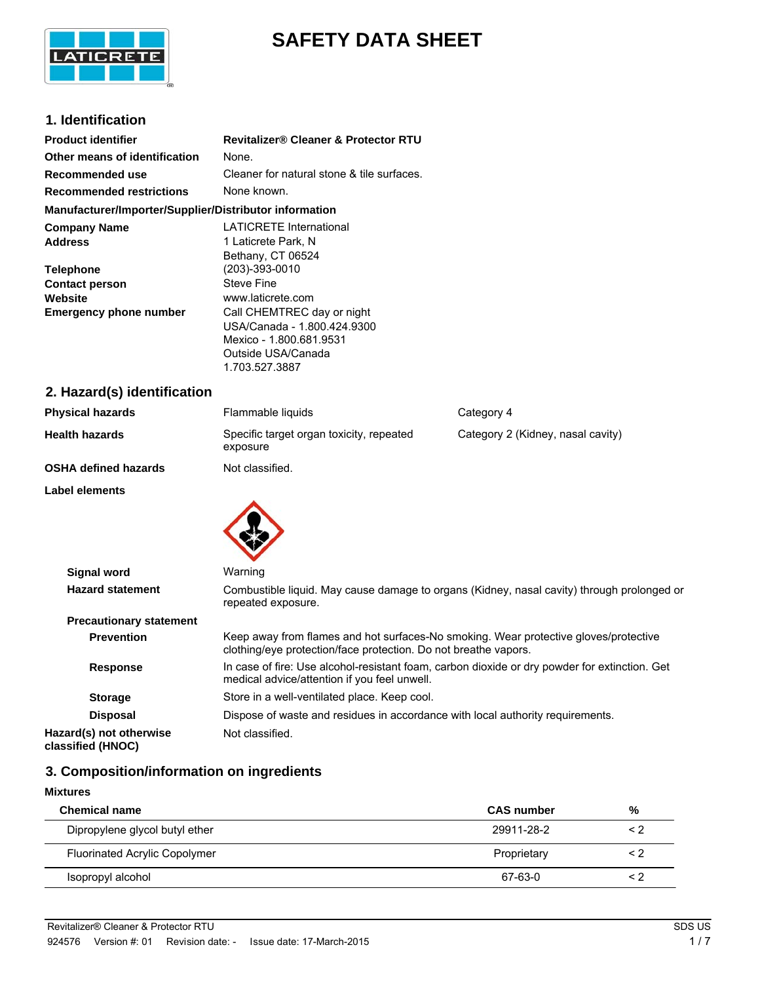

# **SAFETY DATA SHEET**

## **1. Identification**

| <b>Product identifier</b>                                                          | <b>Revitalizer® Cleaner &amp; Protector RTU</b>                                                                                                   |
|------------------------------------------------------------------------------------|---------------------------------------------------------------------------------------------------------------------------------------------------|
| Other means of identification                                                      | None.                                                                                                                                             |
| Recommended use                                                                    | Cleaner for natural stone & tile surfaces.                                                                                                        |
| <b>Recommended restrictions</b>                                                    | None known.                                                                                                                                       |
| Manufacturer/Importer/Supplier/Distributor information                             |                                                                                                                                                   |
| <b>Company Name</b><br><b>Address</b><br><b>Telephone</b><br><b>Contact person</b> | <b>LATICRETE International</b><br>1 Laticrete Park, N<br>Bethany, CT 06524<br>(203)-393-0010<br><b>Steve Fine</b>                                 |
| Website<br><b>Emergency phone number</b>                                           | www.laticrete.com<br>Call CHEMTREC day or night<br>USA/Canada - 1.800.424.9300<br>Mexico - 1.800.681.9531<br>Outside USA/Canada<br>1.703.527.3887 |

# **2. Hazard(s) identification**

| <b>Physical hazards</b>     | Flammable liquids                                    | Category 4                        |
|-----------------------------|------------------------------------------------------|-----------------------------------|
| <b>Health hazards</b>       | Specific target organ toxicity, repeated<br>exposure | Category 2 (Kidney, nasal cavity) |
| <b>OSHA defined hazards</b> | Not classified.                                      |                                   |
| Label elements              |                                                      |                                   |



| <b>Signal word</b>                           | Warning                                                                                                                                                 |
|----------------------------------------------|---------------------------------------------------------------------------------------------------------------------------------------------------------|
| <b>Hazard statement</b>                      | Combustible liquid. May cause damage to organs (Kidney, nasal cavity) through prolonged or<br>repeated exposure.                                        |
| <b>Precautionary statement</b>               |                                                                                                                                                         |
| <b>Prevention</b>                            | Keep away from flames and hot surfaces-No smoking. Wear protective gloves/protective<br>clothing/eye protection/face protection. Do not breathe vapors. |
| <b>Response</b>                              | In case of fire: Use alcohol-resistant foam, carbon dioxide or dry powder for extinction. Get<br>medical advice/attention if you feel unwell.           |
| <b>Storage</b>                               | Store in a well-ventilated place. Keep cool.                                                                                                            |
| <b>Disposal</b>                              | Dispose of waste and residues in accordance with local authority requirements.                                                                          |
| Hazard(s) not otherwise<br>classified (HNOC) | Not classified.                                                                                                                                         |

## **3. Composition/information on ingredients**

| <b>Mixtures</b>                      |                   |          |
|--------------------------------------|-------------------|----------|
| <b>Chemical name</b>                 | <b>CAS number</b> | %        |
| Dipropylene glycol butyl ether       | 29911-28-2        | $\leq$ 2 |
| <b>Fluorinated Acrylic Copolymer</b> | Proprietary       | $\leq$ 2 |
| Isopropyl alcohol                    | 67-63-0           | < 2      |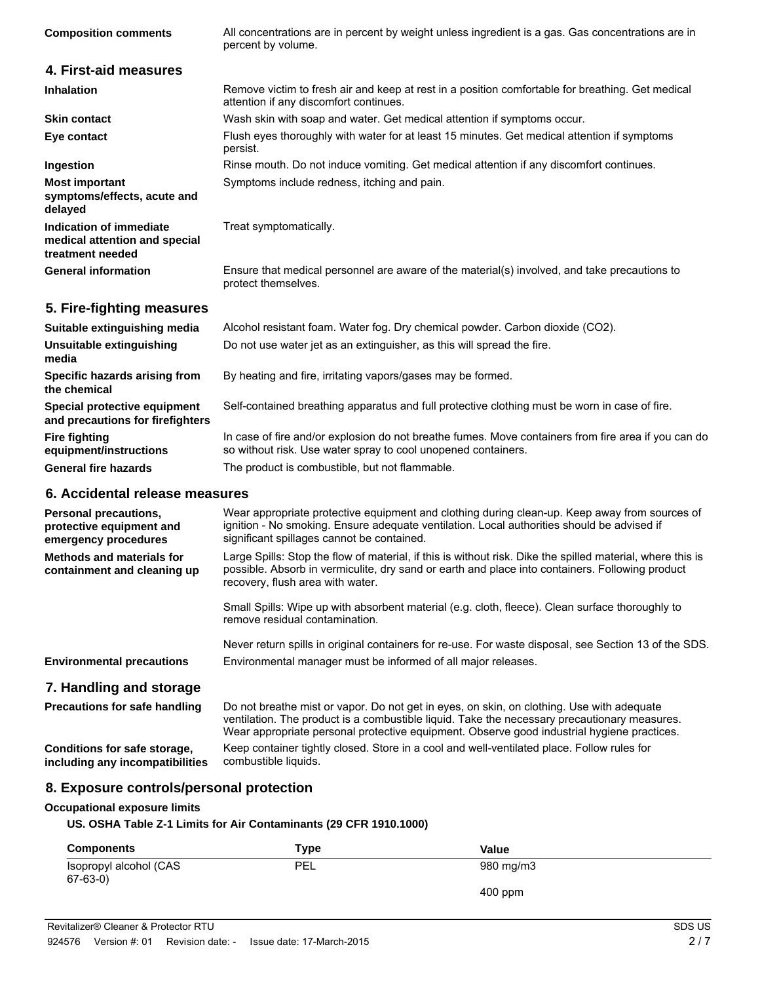| <b>Composition comments</b>                                                  | All concentrations are in percent by weight unless ingredient is a gas. Gas concentrations are in<br>percent by volume.                                              |
|------------------------------------------------------------------------------|----------------------------------------------------------------------------------------------------------------------------------------------------------------------|
| 4. First-aid measures                                                        |                                                                                                                                                                      |
| <b>Inhalation</b>                                                            | Remove victim to fresh air and keep at rest in a position comfortable for breathing. Get medical<br>attention if any discomfort continues.                           |
| <b>Skin contact</b>                                                          | Wash skin with soap and water. Get medical attention if symptoms occur.                                                                                              |
| Eye contact                                                                  | Flush eyes thoroughly with water for at least 15 minutes. Get medical attention if symptoms<br>persist.                                                              |
| Ingestion                                                                    | Rinse mouth. Do not induce vomiting. Get medical attention if any discomfort continues.                                                                              |
| <b>Most important</b><br>symptoms/effects, acute and<br>delayed              | Symptoms include redness, itching and pain.                                                                                                                          |
| Indication of immediate<br>medical attention and special<br>treatment needed | Treat symptomatically.                                                                                                                                               |
| <b>General information</b>                                                   | Ensure that medical personnel are aware of the material(s) involved, and take precautions to<br>protect themselves.                                                  |
| 5. Fire-fighting measures                                                    |                                                                                                                                                                      |
| Suitable extinguishing media                                                 | Alcohol resistant foam. Water fog. Dry chemical powder. Carbon dioxide (CO2).                                                                                        |
| <b>Unsuitable extinguishing</b><br>media                                     | Do not use water jet as an extinguisher, as this will spread the fire.                                                                                               |
| Specific hazards arising from<br>the chemical                                | By heating and fire, irritating vapors/gases may be formed.                                                                                                          |
| Special protective equipment<br>and precautions for firefighters             | Self-contained breathing apparatus and full protective clothing must be worn in case of fire.                                                                        |
| <b>Fire fighting</b><br>equipment/instructions                               | In case of fire and/or explosion do not breathe fumes. Move containers from fire area if you can do<br>so without risk. Use water spray to cool unopened containers. |
| <b>General fire hazards</b>                                                  | The product is combustible, but not flammable.                                                                                                                       |
| 6. Accidental release measures                                               |                                                                                                                                                                      |

| <b>Personal precautions,</b><br>protective equipment and<br>emergency procedures | Wear appropriate protective equipment and clothing during clean-up. Keep away from sources of<br>ignition - No smoking. Ensure adequate ventilation. Local authorities should be advised if<br>significant spillages cannot be contained.         |
|----------------------------------------------------------------------------------|---------------------------------------------------------------------------------------------------------------------------------------------------------------------------------------------------------------------------------------------------|
| <b>Methods and materials for</b><br>containment and cleaning up                  | Large Spills: Stop the flow of material, if this is without risk. Dike the spilled material, where this is<br>possible. Absorb in vermiculite, dry sand or earth and place into containers. Following product<br>recovery, flush area with water. |
|                                                                                  | Small Spills: Wipe up with absorbent material (e.g. cloth, fleece). Clean surface thoroughly to<br>remove residual contamination.                                                                                                                 |
| <b>Environmental precautions</b>                                                 | Never return spills in original containers for re-use. For waste disposal, see Section 13 of the SDS.<br>Environmental manager must be informed of all major releases.                                                                            |
| 7. Handling and storage<br><b>Precautions for safe handling</b>                  | Do not breathe mist or vapor. Do not get in eyes, on skin, on clothing. Use with adequate                                                                                                                                                         |

ventilation. The product is a combustible liquid. Take the necessary precautionary measures. Wear appropriate personal protective equipment. Observe good industrial hygiene practices. **Conditions for safe storage, including any incompatibilities** Keep container tightly closed. Store in a cool and well-ventilated place. Follow rules for combustible liquids.

# **8. Exposure controls/personal protection**

## **Occupational exposure limits**

## **US. OSHA Table Z-1 Limits for Air Contaminants (29 CFR 1910.1000)**

| <b>Components</b>                       | Type       | Value     |  |
|-----------------------------------------|------------|-----------|--|
| Isopropyl alcohol (CAS<br>$67 - 63 - 0$ | <b>PEL</b> | 980 mg/m3 |  |
|                                         |            | $400$ ppm |  |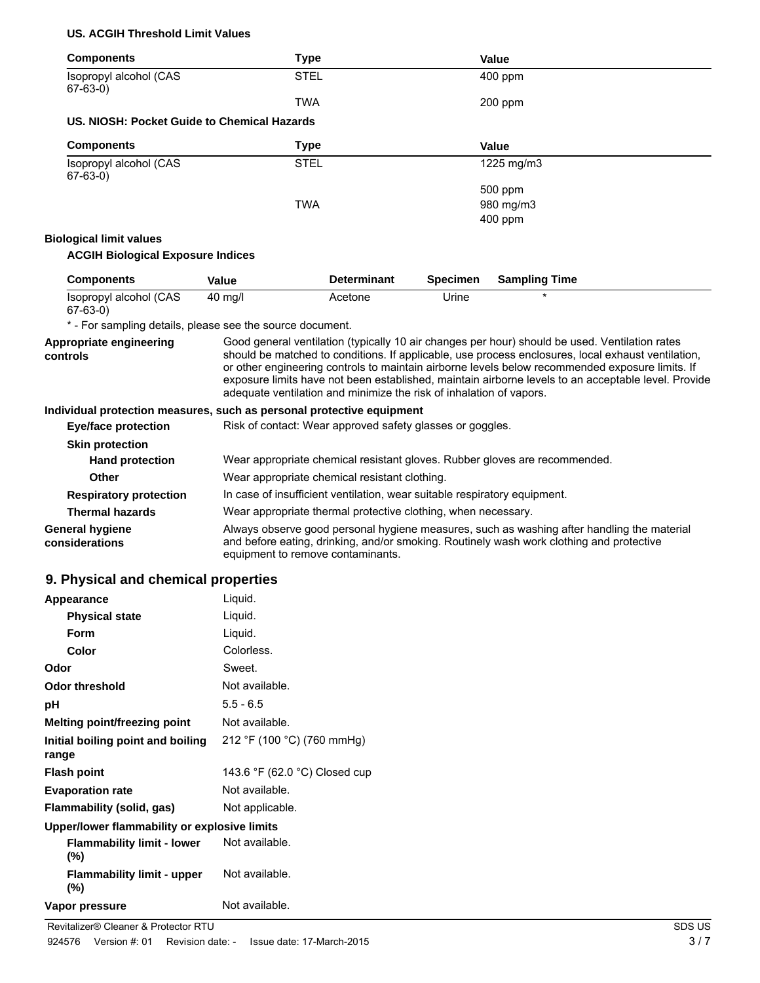#### **US. ACGIH Threshold Limit Values**

| <b>Components</b>                                                     | <b>Type</b>                                                         |                                                                                                                                                                                        |                 | Value                                                                                                                                                                                                                                                                                                                                                                                                          |
|-----------------------------------------------------------------------|---------------------------------------------------------------------|----------------------------------------------------------------------------------------------------------------------------------------------------------------------------------------|-----------------|----------------------------------------------------------------------------------------------------------------------------------------------------------------------------------------------------------------------------------------------------------------------------------------------------------------------------------------------------------------------------------------------------------------|
| Isopropyl alcohol (CAS<br>$67-63-0$                                   | <b>STEL</b>                                                         |                                                                                                                                                                                        |                 | 400 ppm                                                                                                                                                                                                                                                                                                                                                                                                        |
|                                                                       | <b>TWA</b>                                                          |                                                                                                                                                                                        |                 | 200 ppm                                                                                                                                                                                                                                                                                                                                                                                                        |
| US. NIOSH: Pocket Guide to Chemical Hazards                           |                                                                     |                                                                                                                                                                                        |                 |                                                                                                                                                                                                                                                                                                                                                                                                                |
| <b>Components</b>                                                     | <b>Type</b>                                                         |                                                                                                                                                                                        |                 | Value                                                                                                                                                                                                                                                                                                                                                                                                          |
| Isopropyl alcohol (CAS<br>$67-63-0)$                                  | <b>STEL</b>                                                         |                                                                                                                                                                                        |                 | 1225 mg/m3                                                                                                                                                                                                                                                                                                                                                                                                     |
|                                                                       |                                                                     |                                                                                                                                                                                        |                 | 500 ppm                                                                                                                                                                                                                                                                                                                                                                                                        |
|                                                                       | <b>TWA</b>                                                          |                                                                                                                                                                                        |                 | 980 mg/m3                                                                                                                                                                                                                                                                                                                                                                                                      |
|                                                                       |                                                                     |                                                                                                                                                                                        |                 | 400 ppm                                                                                                                                                                                                                                                                                                                                                                                                        |
| <b>Biological limit values</b>                                        |                                                                     |                                                                                                                                                                                        |                 |                                                                                                                                                                                                                                                                                                                                                                                                                |
| <b>ACGIH Biological Exposure Indices</b>                              |                                                                     |                                                                                                                                                                                        |                 |                                                                                                                                                                                                                                                                                                                                                                                                                |
| <b>Components</b>                                                     | <b>Value</b>                                                        | <b>Determinant</b>                                                                                                                                                                     | <b>Specimen</b> | <b>Sampling Time</b>                                                                                                                                                                                                                                                                                                                                                                                           |
| Isopropyl alcohol (CAS<br>$67-63-0)$                                  | 40 mg/l                                                             | Acetone                                                                                                                                                                                | Urine           |                                                                                                                                                                                                                                                                                                                                                                                                                |
| * - For sampling details, please see the source document.             |                                                                     |                                                                                                                                                                                        |                 |                                                                                                                                                                                                                                                                                                                                                                                                                |
| Appropriate engineering<br>controls                                   | adequate ventilation and minimize the risk of inhalation of vapors. |                                                                                                                                                                                        |                 | Good general ventilation (typically 10 air changes per hour) should be used. Ventilation rates<br>should be matched to conditions. If applicable, use process enclosures, local exhaust ventilation,<br>or other engineering controls to maintain airborne levels below recommended exposure limits. If<br>exposure limits have not been established, maintain airborne levels to an acceptable level. Provide |
| Individual protection measures, such as personal protective equipment |                                                                     |                                                                                                                                                                                        |                 |                                                                                                                                                                                                                                                                                                                                                                                                                |
| <b>Eye/face protection</b>                                            | Risk of contact: Wear approved safety glasses or goggles.           |                                                                                                                                                                                        |                 |                                                                                                                                                                                                                                                                                                                                                                                                                |
| <b>Skin protection</b>                                                |                                                                     |                                                                                                                                                                                        |                 |                                                                                                                                                                                                                                                                                                                                                                                                                |
| <b>Hand protection</b>                                                |                                                                     |                                                                                                                                                                                        |                 | Wear appropriate chemical resistant gloves. Rubber gloves are recommended.                                                                                                                                                                                                                                                                                                                                     |
| <b>Other</b>                                                          | Wear appropriate chemical resistant clothing.                       |                                                                                                                                                                                        |                 |                                                                                                                                                                                                                                                                                                                                                                                                                |
| <b>Respiratory protection</b>                                         |                                                                     | In case of insufficient ventilation, wear suitable respiratory equipment.                                                                                                              |                 |                                                                                                                                                                                                                                                                                                                                                                                                                |
| <b>Thermal hazards</b>                                                | Wear appropriate thermal protective clothing, when necessary.       |                                                                                                                                                                                        |                 |                                                                                                                                                                                                                                                                                                                                                                                                                |
| <b>General hygiene</b><br>considerations                              |                                                                     | Always observe good personal hygiene measures, such as washing after handling the material<br>and before eating, drinking, and/or smoking. Routinely wash work clothing and protective |                 |                                                                                                                                                                                                                                                                                                                                                                                                                |

equipment to remove contaminants.

and before eating, drinking, and/or smoking. Routinely wash work clothing and protective

## **9. Physical and chemical properties**

| Appearance                                   | Liquid.                       |
|----------------------------------------------|-------------------------------|
| <b>Physical state</b>                        | Liquid.                       |
| Form                                         | Liquid.                       |
| Color                                        | Colorless.                    |
| Odor                                         | Sweet.                        |
| Odor threshold                               | Not available.                |
| рH                                           | $5.5 - 6.5$                   |
| Melting point/freezing point                 | Not available.                |
| Initial boiling point and boiling<br>range   | 212 °F (100 °C) (760 mmHg)    |
| Flash point                                  | 143.6 °F (62.0 °C) Closed cup |
| <b>Evaporation rate</b>                      | Not available.                |
| Flammability (solid, gas)                    | Not applicable.               |
| Upper/lower flammability or explosive limits |                               |
| <b>Flammability limit - lower</b><br>(%)     | Not available.                |
| <b>Flammability limit - upper</b><br>$(\%)$  | Not available.                |
| Vapor pressure                               | Not available.                |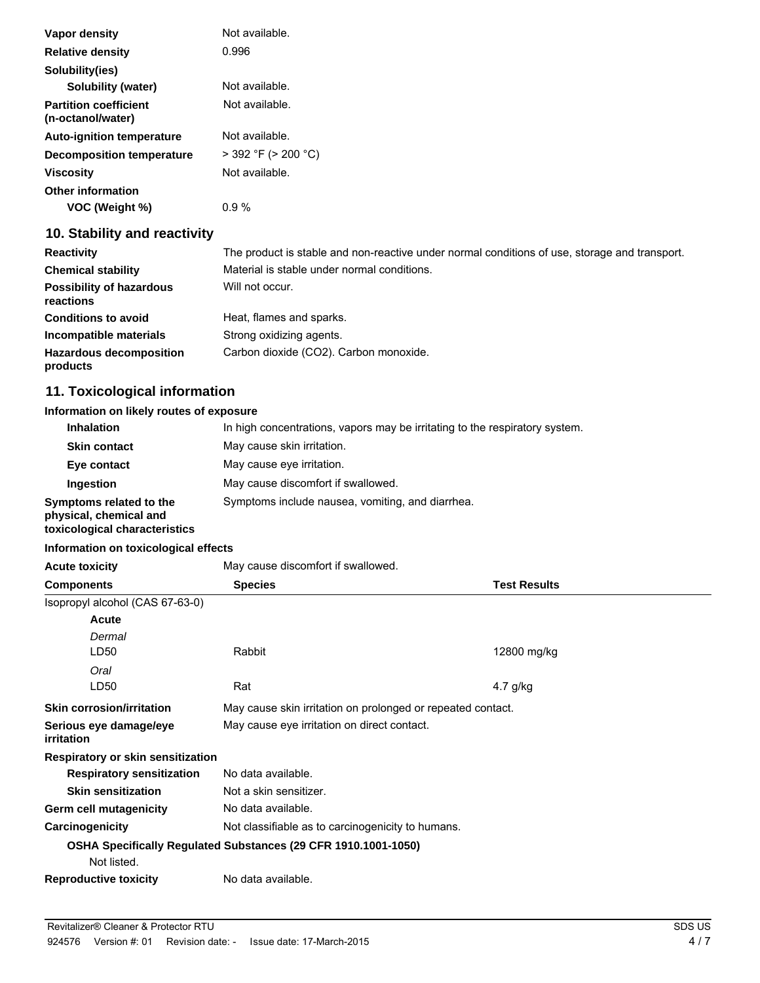| Vapor density                                     | Not available.           |
|---------------------------------------------------|--------------------------|
| <b>Relative density</b>                           | 0.996                    |
| Solubility(ies)                                   |                          |
| Solubility (water)                                | Not available.           |
| <b>Partition coefficient</b><br>(n-octanol/water) | Not available.           |
| <b>Auto-ignition temperature</b>                  | Not available.           |
| <b>Decomposition temperature</b>                  | $>$ 392 °F ( $>$ 200 °C) |
| <b>Viscosity</b>                                  | Not available.           |
| <b>Other information</b><br>VOC (Weight %)        | 0.9%                     |

## **10. Stability and reactivity**

| <b>Reactivity</b>                            | The product is stable and non-reactive under normal conditions of use, storage and transport. |
|----------------------------------------------|-----------------------------------------------------------------------------------------------|
| <b>Chemical stability</b>                    | Material is stable under normal conditions.                                                   |
| <b>Possibility of hazardous</b><br>reactions | Will not occur.                                                                               |
| <b>Conditions to avoid</b>                   | Heat, flames and sparks.                                                                      |
| Incompatible materials                       | Strong oxidizing agents.                                                                      |
| <b>Hazardous decomposition</b><br>products   | Carbon dioxide (CO2). Carbon monoxide.                                                        |

## **11. Toxicological information**

#### **Information on likely routes of exposure**

| <b>Inhalation</b>                                      | In high concentrations, vapors may be irritating to the respiratory system. |
|--------------------------------------------------------|-----------------------------------------------------------------------------|
| <b>Skin contact</b>                                    | May cause skin irritation.                                                  |
| Eye contact                                            | May cause eye irritation.                                                   |
| <b>Ingestion</b>                                       | May cause discomfort if swallowed.                                          |
| Symptoms related to the<br>physical, chemical and<br>. | Symptoms include nausea, vomiting, and diarrhea.                            |

**toxicological characteristics**

## **Information on toxicological effects Acute toxicity** May cause discomfort if swallowed. **Components Species Test Results** Isopropyl alcohol (CAS 67-63-0) LD50 Rabbit *Dermal* **Acute** 12800 mg/kg LD50 Rat *Oral* 4.7 g/kg **Skin corrosion/irritation** May cause skin irritation on prolonged or repeated contact. **Serious eye damage/eye irritation** May cause eye irritation on direct contact. **Respiratory or skin sensitization Respiratory sensitization** No data available. **Skin sensitization** Not a skin sensitizer. Germ cell mutagenicity No data available. **Carcinogenicity** Not classifiable as to carcinogenicity to humans. **OSHA Specifically Regulated Substances (29 CFR 1910.1001-1050)** Not listed. **Reproductive toxicity** No data available.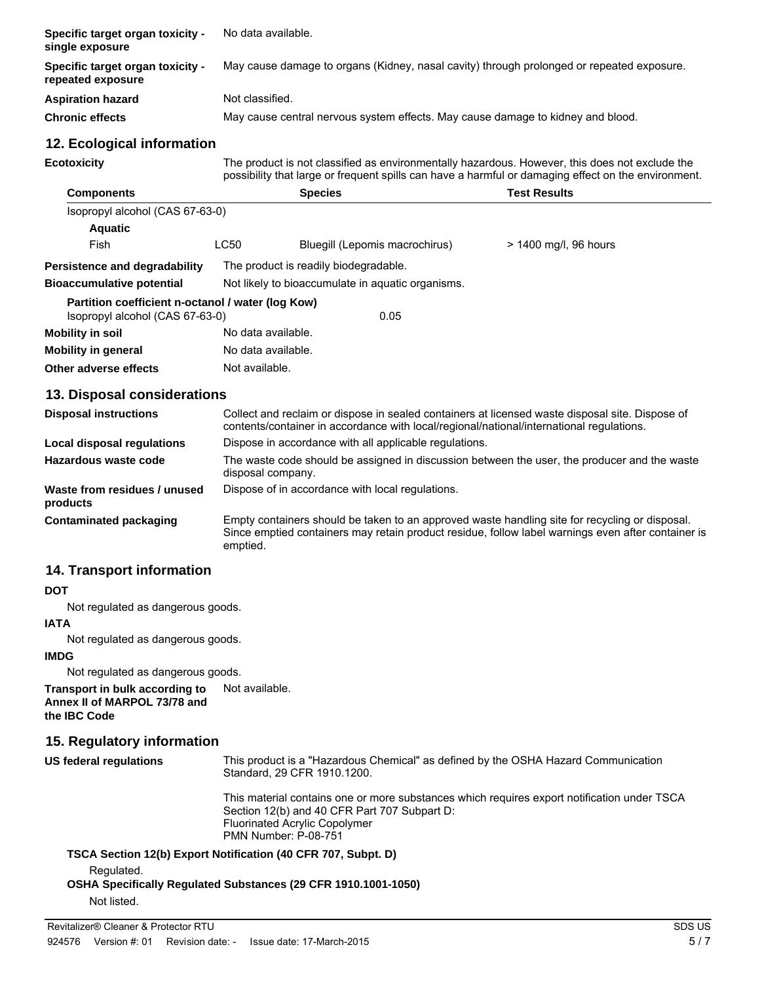| Specific target organ toxicity -<br>single exposure                                  |                                                                                                                                                                                                       | No data available.                                                                                                                                                                          |                       |  |  |  |  |
|--------------------------------------------------------------------------------------|-------------------------------------------------------------------------------------------------------------------------------------------------------------------------------------------------------|---------------------------------------------------------------------------------------------------------------------------------------------------------------------------------------------|-----------------------|--|--|--|--|
| Specific target organ toxicity -<br>repeated exposure                                | May cause damage to organs (Kidney, nasal cavity) through prolonged or repeated exposure.                                                                                                             |                                                                                                                                                                                             |                       |  |  |  |  |
| <b>Aspiration hazard</b>                                                             |                                                                                                                                                                                                       | Not classified.                                                                                                                                                                             |                       |  |  |  |  |
| <b>Chronic effects</b>                                                               |                                                                                                                                                                                                       | May cause central nervous system effects. May cause damage to kidney and blood.                                                                                                             |                       |  |  |  |  |
| 12. Ecological information                                                           |                                                                                                                                                                                                       |                                                                                                                                                                                             |                       |  |  |  |  |
| <b>Ecotoxicity</b>                                                                   | The product is not classified as environmentally hazardous. However, this does not exclude the<br>possibility that large or frequent spills can have a harmful or damaging effect on the environment. |                                                                                                                                                                                             |                       |  |  |  |  |
| <b>Components</b>                                                                    |                                                                                                                                                                                                       | <b>Species</b>                                                                                                                                                                              | <b>Test Results</b>   |  |  |  |  |
| Isopropyl alcohol (CAS 67-63-0)                                                      |                                                                                                                                                                                                       |                                                                                                                                                                                             |                       |  |  |  |  |
| <b>Aquatic</b>                                                                       |                                                                                                                                                                                                       |                                                                                                                                                                                             |                       |  |  |  |  |
| Fish                                                                                 | <b>LC50</b>                                                                                                                                                                                           | Bluegill (Lepomis macrochirus)                                                                                                                                                              | > 1400 mg/l, 96 hours |  |  |  |  |
| <b>Persistence and degradability</b>                                                 | The product is readily biodegradable.                                                                                                                                                                 |                                                                                                                                                                                             |                       |  |  |  |  |
| <b>Bioaccumulative potential</b>                                                     |                                                                                                                                                                                                       | Not likely to bioaccumulate in aquatic organisms.                                                                                                                                           |                       |  |  |  |  |
| Partition coefficient n-octanol / water (log Kow)<br>Isopropyl alcohol (CAS 67-63-0) |                                                                                                                                                                                                       | 0.05                                                                                                                                                                                        |                       |  |  |  |  |
| <b>Mobility in soil</b>                                                              |                                                                                                                                                                                                       | No data available.                                                                                                                                                                          |                       |  |  |  |  |
| <b>Mobility in general</b>                                                           |                                                                                                                                                                                                       | No data available.                                                                                                                                                                          |                       |  |  |  |  |
| Other adverse effects                                                                |                                                                                                                                                                                                       | Not available.                                                                                                                                                                              |                       |  |  |  |  |
| 13. Disposal considerations                                                          |                                                                                                                                                                                                       |                                                                                                                                                                                             |                       |  |  |  |  |
| <b>Disposal instructions</b>                                                         |                                                                                                                                                                                                       | Collect and reclaim or dispose in sealed containers at licensed waste disposal site. Dispose of<br>contents/container in accordance with local/regional/national/international regulations. |                       |  |  |  |  |
| Local disposal regulations                                                           |                                                                                                                                                                                                       | Dispose in accordance with all applicable regulations.                                                                                                                                      |                       |  |  |  |  |
| Hazardous waste code                                                                 |                                                                                                                                                                                                       | The waste code should be assigned in discussion between the user, the producer and the waste                                                                                                |                       |  |  |  |  |

**Waste from residues / unused products** Dispose of in accordance with local regulations.

disposal company.

**Contaminated packaging** Empty containers should be taken to an approved waste handling site for recycling or disposal. Since emptied containers may retain product residue, follow label warnings even after container is emptied.

# **14. Transport information**

#### **DOT**

Not regulated as dangerous goods.

#### **IATA**

Not regulated as dangerous goods.

#### **IMDG**

Not regulated as dangerous goods.

**Transport in bulk according to** Not available.

**Annex II of MARPOL 73/78 and the IBC Code**

## **15. Regulatory information**

| US federal regulations | This product is a "Hazardous Chemical" as defined by the OSHA Hazard Communication<br>Standard, 29 CFR 1910, 1200.                                                                                                 |  |  |
|------------------------|--------------------------------------------------------------------------------------------------------------------------------------------------------------------------------------------------------------------|--|--|
|                        | This material contains one or more substances which requires export notification under TSCA<br>Section 12(b) and 40 CFR Part 707 Subpart D:<br><b>Fluorinated Acrylic Copolymer</b><br><b>PMN Number: P-08-751</b> |  |  |
|                        | TSCA Section 12(b) Export Notification (40 CFR 707, Subpt. D)                                                                                                                                                      |  |  |
| Regulated              |                                                                                                                                                                                                                    |  |  |

Regulated.

**OSHA Specifically Regulated Substances (29 CFR 1910.1001-1050)** Not listed.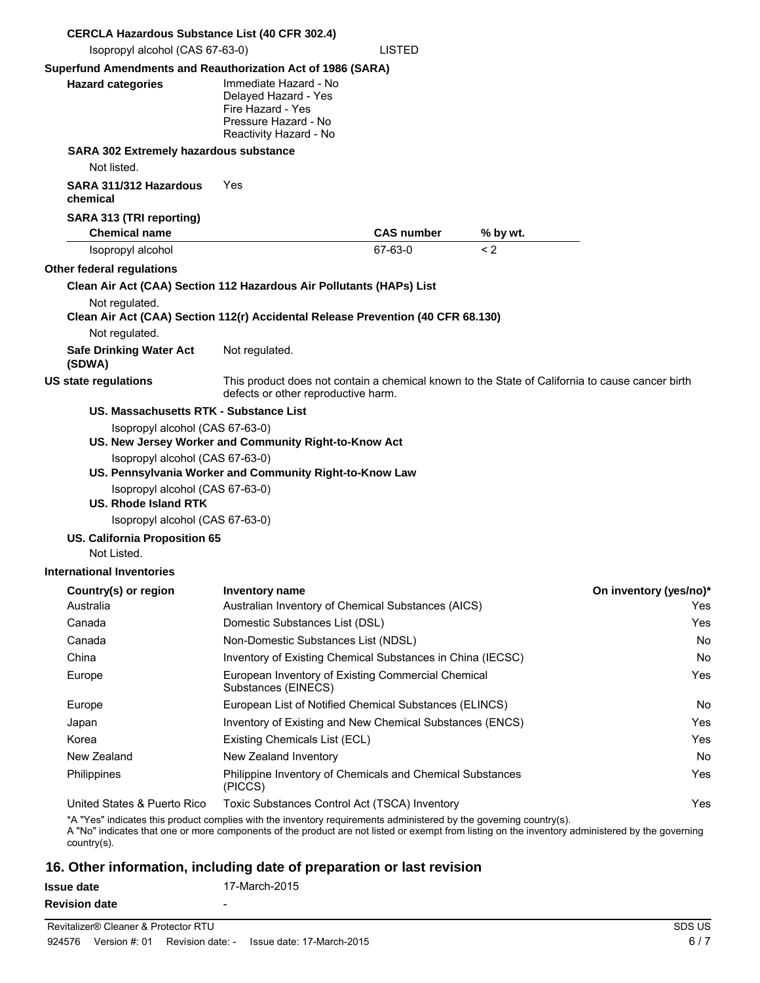| <b>CERCLA Hazardous Substance List (40 CFR 302.4)</b>                                                                                                                                                                                                                                 |                                                                                                                                        |                   |          |                        |  |
|---------------------------------------------------------------------------------------------------------------------------------------------------------------------------------------------------------------------------------------------------------------------------------------|----------------------------------------------------------------------------------------------------------------------------------------|-------------------|----------|------------------------|--|
| Isopropyl alcohol (CAS 67-63-0)                                                                                                                                                                                                                                                       |                                                                                                                                        | <b>LISTED</b>     |          |                        |  |
| Superfund Amendments and Reauthorization Act of 1986 (SARA)<br><b>Hazard categories</b>                                                                                                                                                                                               | Immediate Hazard - No<br>Delayed Hazard - Yes<br>Fire Hazard - Yes<br>Pressure Hazard - No<br>Reactivity Hazard - No                   |                   |          |                        |  |
| SARA 302 Extremely hazardous substance                                                                                                                                                                                                                                                |                                                                                                                                        |                   |          |                        |  |
| Not listed.                                                                                                                                                                                                                                                                           |                                                                                                                                        |                   |          |                        |  |
| SARA 311/312 Hazardous<br>chemical                                                                                                                                                                                                                                                    | Yes                                                                                                                                    |                   |          |                        |  |
| SARA 313 (TRI reporting)<br><b>Chemical name</b>                                                                                                                                                                                                                                      |                                                                                                                                        | <b>CAS number</b> | % by wt. |                        |  |
| Isopropyl alcohol                                                                                                                                                                                                                                                                     |                                                                                                                                        | 67-63-0           | < 2      |                        |  |
| Other federal regulations                                                                                                                                                                                                                                                             |                                                                                                                                        |                   |          |                        |  |
| Clean Air Act (CAA) Section 112 Hazardous Air Pollutants (HAPs) List                                                                                                                                                                                                                  |                                                                                                                                        |                   |          |                        |  |
| Not regulated.<br>Clean Air Act (CAA) Section 112(r) Accidental Release Prevention (40 CFR 68.130)<br>Not regulated.                                                                                                                                                                  |                                                                                                                                        |                   |          |                        |  |
| <b>Safe Drinking Water Act</b><br>(SDWA)                                                                                                                                                                                                                                              | Not regulated.                                                                                                                         |                   |          |                        |  |
| <b>US state regulations</b>                                                                                                                                                                                                                                                           | This product does not contain a chemical known to the State of California to cause cancer birth<br>defects or other reproductive harm. |                   |          |                        |  |
| US. Massachusetts RTK - Substance List                                                                                                                                                                                                                                                |                                                                                                                                        |                   |          |                        |  |
| Isopropyl alcohol (CAS 67-63-0)                                                                                                                                                                                                                                                       | US. New Jersey Worker and Community Right-to-Know Act                                                                                  |                   |          |                        |  |
| Isopropyl alcohol (CAS 67-63-0)                                                                                                                                                                                                                                                       | US. Pennsylvania Worker and Community Right-to-Know Law                                                                                |                   |          |                        |  |
| Isopropyl alcohol (CAS 67-63-0)<br><b>US. Rhode Island RTK</b>                                                                                                                                                                                                                        |                                                                                                                                        |                   |          |                        |  |
| Isopropyl alcohol (CAS 67-63-0)<br><b>US. California Proposition 65</b>                                                                                                                                                                                                               |                                                                                                                                        |                   |          |                        |  |
| Not Listed.                                                                                                                                                                                                                                                                           |                                                                                                                                        |                   |          |                        |  |
| International Inventories                                                                                                                                                                                                                                                             |                                                                                                                                        |                   |          |                        |  |
| Country(s) or region                                                                                                                                                                                                                                                                  | <b>Inventory name</b>                                                                                                                  |                   |          | On inventory (yes/no)* |  |
| Australia                                                                                                                                                                                                                                                                             | Australian Inventory of Chemical Substances (AICS)                                                                                     |                   |          | Yes                    |  |
| Canada                                                                                                                                                                                                                                                                                | Domestic Substances List (DSL)                                                                                                         |                   |          | Yes.                   |  |
| Canada                                                                                                                                                                                                                                                                                | Non-Domestic Substances List (NDSL)                                                                                                    |                   |          | No.                    |  |
| China                                                                                                                                                                                                                                                                                 | Inventory of Existing Chemical Substances in China (IECSC)                                                                             |                   |          | No                     |  |
| Europe                                                                                                                                                                                                                                                                                | European Inventory of Existing Commercial Chemical<br>Substances (EINECS)                                                              |                   |          | Yes                    |  |
| Europe                                                                                                                                                                                                                                                                                | European List of Notified Chemical Substances (ELINCS)                                                                                 |                   |          | No.                    |  |
| Japan                                                                                                                                                                                                                                                                                 | Inventory of Existing and New Chemical Substances (ENCS)                                                                               |                   |          | Yes.                   |  |
| Korea                                                                                                                                                                                                                                                                                 | Existing Chemicals List (ECL)                                                                                                          |                   |          | Yes.                   |  |
| New Zealand                                                                                                                                                                                                                                                                           | New Zealand Inventory                                                                                                                  |                   |          | No                     |  |
| Philippines                                                                                                                                                                                                                                                                           | Philippine Inventory of Chemicals and Chemical Substances<br>(PICCS)                                                                   |                   |          | Yes                    |  |
| United States & Puerto Rico                                                                                                                                                                                                                                                           | Toxic Substances Control Act (TSCA) Inventory                                                                                          |                   |          | Yes                    |  |
| *A "Yes" indicates this product complies with the inventory requirements administered by the governing country(s).<br>A "No" indicates that one or more components of the product are not listed or exempt from listing on the inventory administered by the governing<br>country(s). |                                                                                                                                        |                   |          |                        |  |
| 16 Other information including date of preparation or last revision                                                                                                                                                                                                                   |                                                                                                                                        |                   |          |                        |  |

# **16. Other information, including date of preparation or last revision**

| <b>Issue date</b>    | 17-March-2015 |
|----------------------|---------------|
| <b>Revision date</b> | -             |